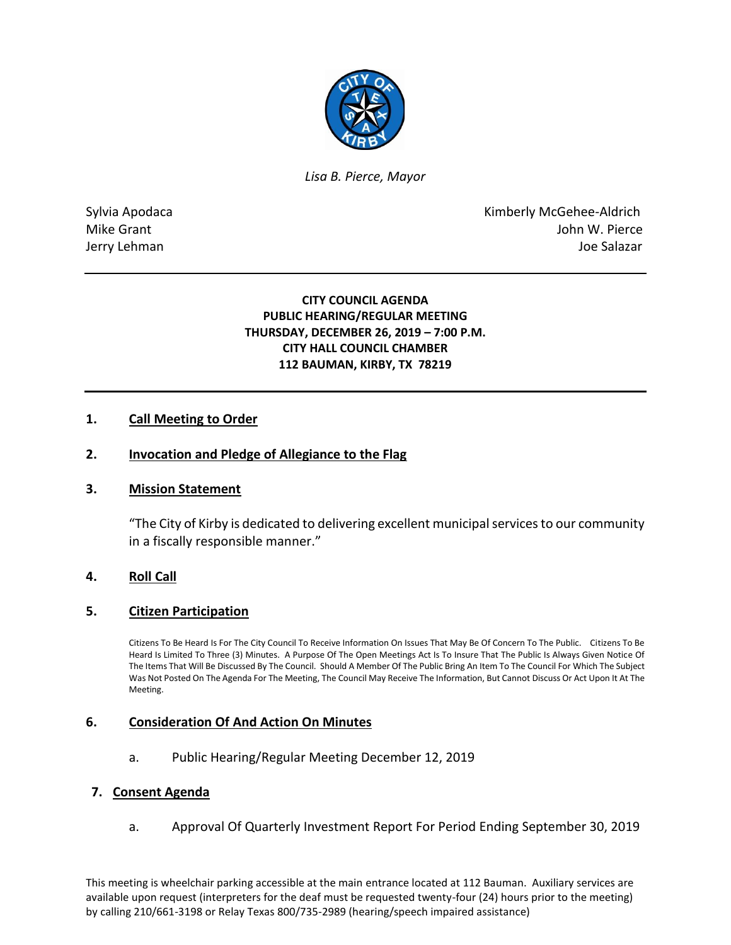

*Lisa B. Pierce, Mayor* 

Sylvia Apodaca **Kimberly McGehee-Aldrich** Mike Grant **Mike Grant** John W. Pierce Jerry Lehman Joe Salazar

> **CITY COUNCIL AGENDA PUBLIC HEARING/REGULAR MEETING THURSDAY, DECEMBER 26, 2019 – 7:00 P.M. CITY HALL COUNCIL CHAMBER 112 BAUMAN, KIRBY, TX 78219**

### **1. Call Meeting to Order**

### **2. Invocation and Pledge of Allegiance to the Flag**

#### **3. Mission Statement**

"The City of Kirby is dedicated to delivering excellent municipal services to our community in a fiscally responsible manner."

### **4. Roll Call**

#### **5. Citizen Participation**

Citizens To Be Heard Is For The City Council To Receive Information On Issues That May Be Of Concern To The Public. Citizens To Be Heard Is Limited To Three (3) Minutes. A Purpose Of The Open Meetings Act Is To Insure That The Public Is Always Given Notice Of The Items That Will Be Discussed By The Council. Should A Member Of The Public Bring An Item To The Council For Which The Subject Was Not Posted On The Agenda For The Meeting, The Council May Receive The Information, But Cannot Discuss Or Act Upon It At The Meeting.

#### **6. Consideration Of And Action On Minutes**

a. Public Hearing/Regular Meeting December 12, 2019

#### **7. Consent Agenda**

a. Approval Of Quarterly Investment Report For Period Ending September 30, 2019

This meeting is wheelchair parking accessible at the main entrance located at 112 Bauman. Auxiliary services are available upon request (interpreters for the deaf must be requested twenty-four (24) hours prior to the meeting) by calling 210/661-3198 or Relay Texas 800/735-2989 (hearing/speech impaired assistance)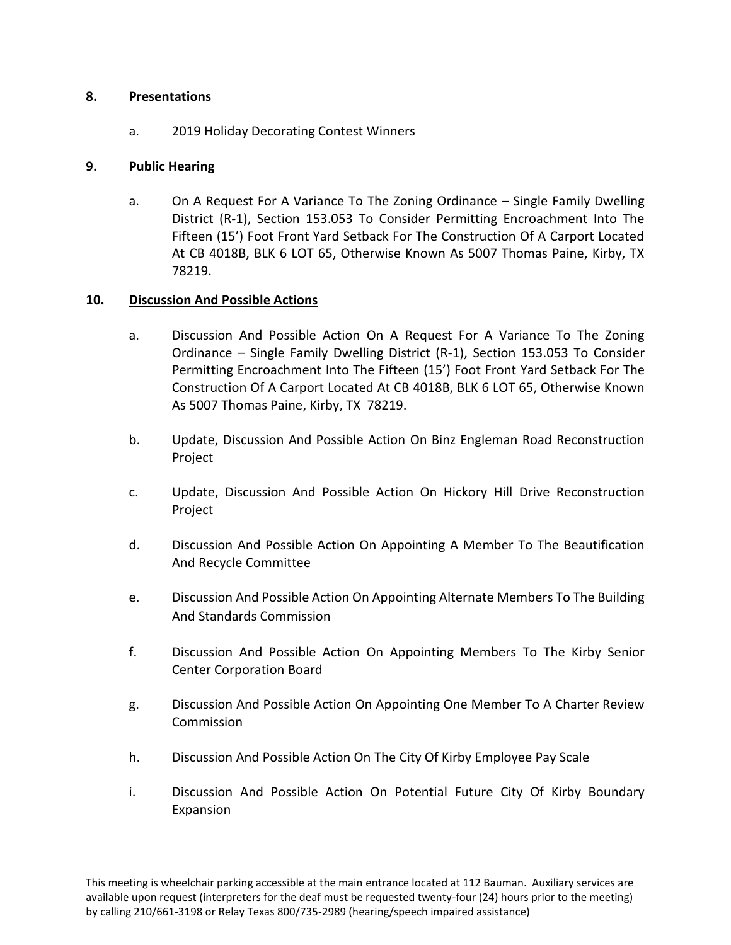### **8. Presentations**

a. 2019 Holiday Decorating Contest Winners

## **9. Public Hearing**

a. On A Request For A Variance To The Zoning Ordinance – Single Family Dwelling District (R-1), Section 153.053 To Consider Permitting Encroachment Into The Fifteen (15') Foot Front Yard Setback For The Construction Of A Carport Located At CB 4018B, BLK 6 LOT 65, Otherwise Known As 5007 Thomas Paine, Kirby, TX 78219.

# **10. Discussion And Possible Actions**

- a. Discussion And Possible Action On A Request For A Variance To The Zoning Ordinance – Single Family Dwelling District (R-1), Section 153.053 To Consider Permitting Encroachment Into The Fifteen (15') Foot Front Yard Setback For The Construction Of A Carport Located At CB 4018B, BLK 6 LOT 65, Otherwise Known As 5007 Thomas Paine, Kirby, TX 78219.
- b. Update, Discussion And Possible Action On Binz Engleman Road Reconstruction Project
- c. Update, Discussion And Possible Action On Hickory Hill Drive Reconstruction Project
- d. Discussion And Possible Action On Appointing A Member To The Beautification And Recycle Committee
- e. Discussion And Possible Action On Appointing Alternate Members To The Building And Standards Commission
- f. Discussion And Possible Action On Appointing Members To The Kirby Senior Center Corporation Board
- g. Discussion And Possible Action On Appointing One Member To A Charter Review Commission
- h. Discussion And Possible Action On The City Of Kirby Employee Pay Scale
- i. Discussion And Possible Action On Potential Future City Of Kirby Boundary Expansion